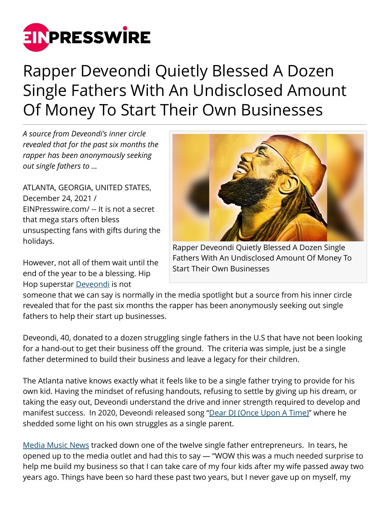

## Rapper Deveondi Quietly Blessed A Dozen Single Fathers With An Undisclosed Amount Of Money To Start Their Own Businesses

*A source from Deveondi's inner circle revealed that for the past six months the rapper has been anonymously seeking out single fathers to ...*

ATLANTA, GEORGIA, UNITED STATES, December 24, 2021 / [EINPresswire.com](http://www.einpresswire.com)/ -- It is not a secret that mega stars often bless unsuspecting fans with gifts during the holidays.

However, not all of them wait until the end of the year to be a blessing. Hip Hop superstar [Deveondi](https://www.mediamusicnews.com/deveondi) is not



Rapper Deveondi Quietly Blessed A Dozen Single Fathers With An Undisclosed Amount Of Money To Start Their Own Businesses

someone that we can say is normally in the media spotlight but a source from his inner circle revealed that for the past six months the rapper has been anonymously seeking out single fathers to help their start up businesses.

Deveondi, 40, donated to a dozen struggling single fathers in the U.S that have not been looking for a hand-out to get their business off the ground. The criteria was simple, just be a single father determined to build their business and leave a legacy for their children.

The Atlanta native knows exactly what it feels like to be a single father trying to provide for his own kid. Having the mindset of refusing handouts, refusing to settle by giving up his dream, or taking the easy out, Deveondi understand the drive and inner strength required to develop and manifest success. In 2020, Deveondi released song ["Dear DJ \(Once Upon A Time\)"](https://www.mediamusicnews.com/deveondi) where he shedded some light on his own struggles as a single parent.

[Media Music News](https://www.mediamusicnews.com) tracked down one of the twelve single father entrepreneurs. In tears, he opened up to the media outlet and had this to say — "WOW this was a much needed surprise to help me build my business so that I can take care of my four kids after my wife passed away two years ago. Things have been so hard these past two years, but I never gave up on myself, my